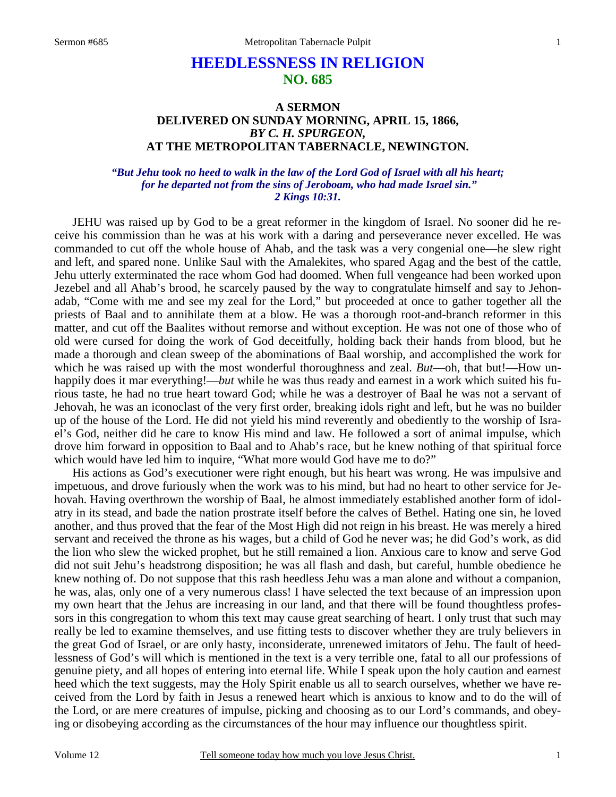# **HEEDLESSNESS IN RELIGION NO. 685**

# **A SERMON DELIVERED ON SUNDAY MORNING, APRIL 15, 1866,**  *BY C. H. SPURGEON,*  **AT THE METROPOLITAN TABERNACLE, NEWINGTON.**

### *"But Jehu took no heed to walk in the law of the Lord God of Israel with all his heart; for he departed not from the sins of Jeroboam, who had made Israel sin." 2 Kings 10:31.*

 JEHU was raised up by God to be a great reformer in the kingdom of Israel. No sooner did he receive his commission than he was at his work with a daring and perseverance never excelled. He was commanded to cut off the whole house of Ahab, and the task was a very congenial one—he slew right and left, and spared none. Unlike Saul with the Amalekites, who spared Agag and the best of the cattle, Jehu utterly exterminated the race whom God had doomed. When full vengeance had been worked upon Jezebel and all Ahab's brood, he scarcely paused by the way to congratulate himself and say to Jehonadab, "Come with me and see my zeal for the Lord," but proceeded at once to gather together all the priests of Baal and to annihilate them at a blow. He was a thorough root-and-branch reformer in this matter, and cut off the Baalites without remorse and without exception. He was not one of those who of old were cursed for doing the work of God deceitfully, holding back their hands from blood, but he made a thorough and clean sweep of the abominations of Baal worship, and accomplished the work for which he was raised up with the most wonderful thoroughness and zeal. *But*—oh, that but!—How unhappily does it mar everything!—*but* while he was thus ready and earnest in a work which suited his furious taste, he had no true heart toward God; while he was a destroyer of Baal he was not a servant of Jehovah, he was an iconoclast of the very first order, breaking idols right and left, but he was no builder up of the house of the Lord. He did not yield his mind reverently and obediently to the worship of Israel's God, neither did he care to know His mind and law. He followed a sort of animal impulse, which drove him forward in opposition to Baal and to Ahab's race, but he knew nothing of that spiritual force which would have led him to inquire, "What more would God have me to do?"

 His actions as God's executioner were right enough, but his heart was wrong. He was impulsive and impetuous, and drove furiously when the work was to his mind, but had no heart to other service for Jehovah. Having overthrown the worship of Baal, he almost immediately established another form of idolatry in its stead, and bade the nation prostrate itself before the calves of Bethel. Hating one sin, he loved another, and thus proved that the fear of the Most High did not reign in his breast. He was merely a hired servant and received the throne as his wages, but a child of God he never was; he did God's work, as did the lion who slew the wicked prophet, but he still remained a lion. Anxious care to know and serve God did not suit Jehu's headstrong disposition; he was all flash and dash, but careful, humble obedience he knew nothing of. Do not suppose that this rash heedless Jehu was a man alone and without a companion, he was, alas, only one of a very numerous class! I have selected the text because of an impression upon my own heart that the Jehus are increasing in our land, and that there will be found thoughtless professors in this congregation to whom this text may cause great searching of heart. I only trust that such may really be led to examine themselves, and use fitting tests to discover whether they are truly believers in the great God of Israel, or are only hasty, inconsiderate, unrenewed imitators of Jehu. The fault of heedlessness of God's will which is mentioned in the text is a very terrible one, fatal to all our professions of genuine piety, and all hopes of entering into eternal life. While I speak upon the holy caution and earnest heed which the text suggests, may the Holy Spirit enable us all to search ourselves, whether we have received from the Lord by faith in Jesus a renewed heart which is anxious to know and to do the will of the Lord, or are mere creatures of impulse, picking and choosing as to our Lord's commands, and obeying or disobeying according as the circumstances of the hour may influence our thoughtless spirit.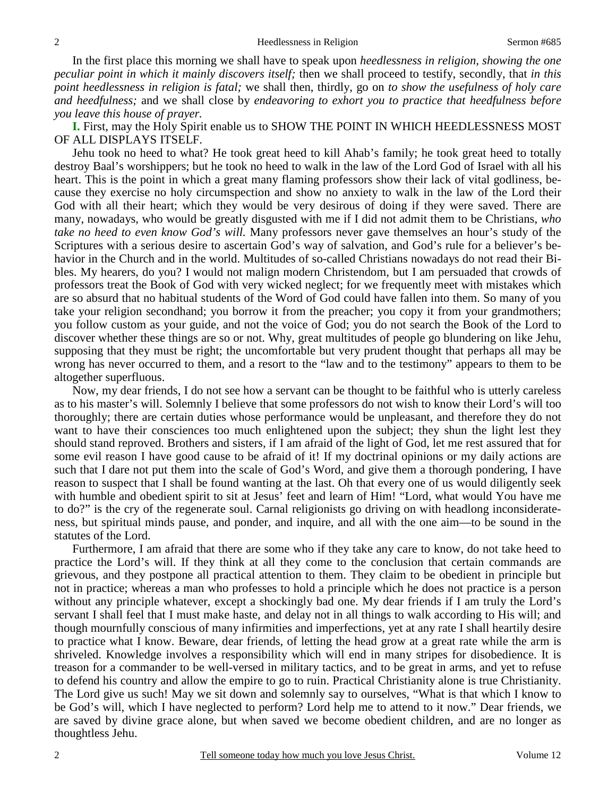In the first place this morning we shall have to speak upon *heedlessness in religion, showing the one peculiar point in which it mainly discovers itself;* then we shall proceed to testify, secondly, that *in this point heedlessness in religion is fatal;* we shall then, thirdly, go on *to show the usefulness of holy care and heedfulness;* and we shall close by *endeavoring to exhort you to practice that heedfulness before you leave this house of prayer.*

**I.** First, may the Holy Spirit enable us to SHOW THE POINT IN WHICH HEEDLESSNESS MOST OF ALL DISPLAYS ITSELF.

 Jehu took no heed to what? He took great heed to kill Ahab's family; he took great heed to totally destroy Baal's worshippers; but he took no heed to walk in the law of the Lord God of Israel with all his heart. This is the point in which a great many flaming professors show their lack of vital godliness, because they exercise no holy circumspection and show no anxiety to walk in the law of the Lord their God with all their heart; which they would be very desirous of doing if they were saved. There are many, nowadays, who would be greatly disgusted with me if I did not admit them to be Christians, *who take no heed to even know God's will.* Many professors never gave themselves an hour's study of the Scriptures with a serious desire to ascertain God's way of salvation, and God's rule for a believer's behavior in the Church and in the world. Multitudes of so-called Christians nowadays do not read their Bibles. My hearers, do you? I would not malign modern Christendom, but I am persuaded that crowds of professors treat the Book of God with very wicked neglect; for we frequently meet with mistakes which are so absurd that no habitual students of the Word of God could have fallen into them. So many of you take your religion secondhand; you borrow it from the preacher; you copy it from your grandmothers; you follow custom as your guide, and not the voice of God; you do not search the Book of the Lord to discover whether these things are so or not. Why, great multitudes of people go blundering on like Jehu, supposing that they must be right; the uncomfortable but very prudent thought that perhaps all may be wrong has never occurred to them, and a resort to the "law and to the testimony" appears to them to be altogether superfluous.

 Now, my dear friends, I do not see how a servant can be thought to be faithful who is utterly careless as to his master's will. Solemnly I believe that some professors do not wish to know their Lord's will too thoroughly; there are certain duties whose performance would be unpleasant, and therefore they do not want to have their consciences too much enlightened upon the subject; they shun the light lest they should stand reproved. Brothers and sisters, if I am afraid of the light of God, let me rest assured that for some evil reason I have good cause to be afraid of it! If my doctrinal opinions or my daily actions are such that I dare not put them into the scale of God's Word, and give them a thorough pondering, I have reason to suspect that I shall be found wanting at the last. Oh that every one of us would diligently seek with humble and obedient spirit to sit at Jesus' feet and learn of Him! "Lord, what would You have me to do?" is the cry of the regenerate soul. Carnal religionists go driving on with headlong inconsiderateness, but spiritual minds pause, and ponder, and inquire, and all with the one aim—to be sound in the statutes of the Lord.

 Furthermore, I am afraid that there are some who if they take any care to know, do not take heed to practice the Lord's will. If they think at all they come to the conclusion that certain commands are grievous, and they postpone all practical attention to them. They claim to be obedient in principle but not in practice; whereas a man who professes to hold a principle which he does not practice is a person without any principle whatever, except a shockingly bad one. My dear friends if I am truly the Lord's servant I shall feel that I must make haste, and delay not in all things to walk according to His will; and though mournfully conscious of many infirmities and imperfections, yet at any rate I shall heartily desire to practice what I know. Beware, dear friends, of letting the head grow at a great rate while the arm is shriveled. Knowledge involves a responsibility which will end in many stripes for disobedience. It is treason for a commander to be well-versed in military tactics, and to be great in arms, and yet to refuse to defend his country and allow the empire to go to ruin. Practical Christianity alone is true Christianity. The Lord give us such! May we sit down and solemnly say to ourselves, "What is that which I know to be God's will, which I have neglected to perform? Lord help me to attend to it now." Dear friends, we are saved by divine grace alone, but when saved we become obedient children, and are no longer as thoughtless Jehu.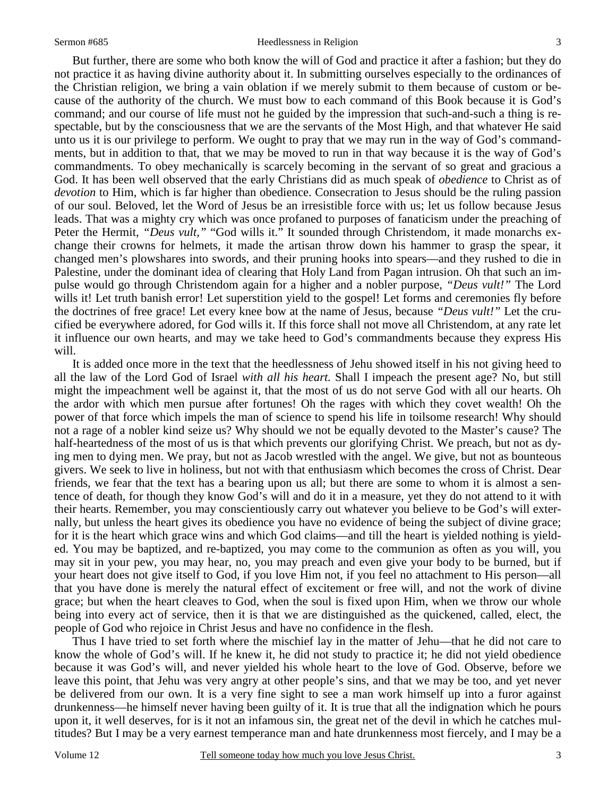#### Sermon #685 Heedlessness in Religion

 But further, there are some who both know the will of God and practice it after a fashion; but they do not practice it as having divine authority about it. In submitting ourselves especially to the ordinances of the Christian religion, we bring a vain oblation if we merely submit to them because of custom or because of the authority of the church. We must bow to each command of this Book because it is God's command; and our course of life must not he guided by the impression that such-and-such a thing is respectable, but by the consciousness that we are the servants of the Most High, and that whatever He said unto us it is our privilege to perform. We ought to pray that we may run in the way of God's commandments, but in addition to that, that we may be moved to run in that way because it is the way of God's commandments. To obey mechanically is scarcely becoming in the servant of so great and gracious a God. It has been well observed that the early Christians did as much speak of *obedience* to Christ as of *devotion* to Him, which is far higher than obedience. Consecration to Jesus should be the ruling passion of our soul. Beloved, let the Word of Jesus be an irresistible force with us; let us follow because Jesus leads. That was a mighty cry which was once profaned to purposes of fanaticism under the preaching of Peter the Hermit, "*Deus vult,"* "God wills it." It sounded through Christendom, it made monarchs exchange their crowns for helmets, it made the artisan throw down his hammer to grasp the spear, it changed men's plowshares into swords, and their pruning hooks into spears—and they rushed to die in Palestine, under the dominant idea of clearing that Holy Land from Pagan intrusion. Oh that such an impulse would go through Christendom again for a higher and a nobler purpose, *"Deus vult!"* The Lord wills it! Let truth banish error! Let superstition yield to the gospel! Let forms and ceremonies fly before the doctrines of free grace! Let every knee bow at the name of Jesus, because *"Deus vult!"* Let the crucified be everywhere adored, for God wills it. If this force shall not move all Christendom, at any rate let it influence our own hearts, and may we take heed to God's commandments because they express His will.

 It is added once more in the text that the heedlessness of Jehu showed itself in his not giving heed to all the law of the Lord God of Israel *with all his heart.* Shall I impeach the present age? No, but still might the impeachment well be against it, that the most of us do not serve God with all our hearts. Oh the ardor with which men pursue after fortunes! Oh the rages with which they covet wealth! Oh the power of that force which impels the man of science to spend his life in toilsome research! Why should not a rage of a nobler kind seize us? Why should we not be equally devoted to the Master's cause? The half-heartedness of the most of us is that which prevents our glorifying Christ. We preach, but not as dying men to dying men. We pray, but not as Jacob wrestled with the angel. We give, but not as bounteous givers. We seek to live in holiness, but not with that enthusiasm which becomes the cross of Christ. Dear friends, we fear that the text has a bearing upon us all; but there are some to whom it is almost a sentence of death, for though they know God's will and do it in a measure, yet they do not attend to it with their hearts. Remember, you may conscientiously carry out whatever you believe to be God's will externally, but unless the heart gives its obedience you have no evidence of being the subject of divine grace; for it is the heart which grace wins and which God claims—and till the heart is yielded nothing is yielded. You may be baptized, and re-baptized, you may come to the communion as often as you will, you may sit in your pew, you may hear, no, you may preach and even give your body to be burned, but if your heart does not give itself to God, if you love Him not, if you feel no attachment to His person—all that you have done is merely the natural effect of excitement or free will, and not the work of divine grace; but when the heart cleaves to God, when the soul is fixed upon Him, when we throw our whole being into every act of service, then it is that we are distinguished as the quickened, called, elect, the people of God who rejoice in Christ Jesus and have no confidence in the flesh.

 Thus I have tried to set forth where the mischief lay in the matter of Jehu—that he did not care to know the whole of God's will. If he knew it, he did not study to practice it; he did not yield obedience because it was God's will, and never yielded his whole heart to the love of God. Observe, before we leave this point, that Jehu was very angry at other people's sins, and that we may be too, and yet never be delivered from our own. It is a very fine sight to see a man work himself up into a furor against drunkenness—he himself never having been guilty of it. It is true that all the indignation which he pours upon it, it well deserves, for is it not an infamous sin, the great net of the devil in which he catches multitudes? But I may be a very earnest temperance man and hate drunkenness most fiercely, and I may be a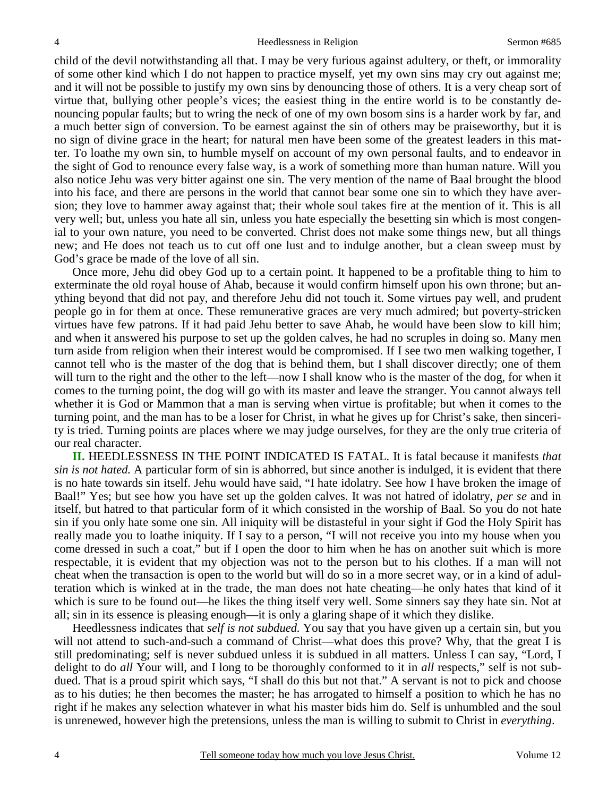child of the devil notwithstanding all that. I may be very furious against adultery, or theft, or immorality of some other kind which I do not happen to practice myself, yet my own sins may cry out against me; and it will not be possible to justify my own sins by denouncing those of others. It is a very cheap sort of virtue that, bullying other people's vices; the easiest thing in the entire world is to be constantly denouncing popular faults; but to wring the neck of one of my own bosom sins is a harder work by far, and a much better sign of conversion. To be earnest against the sin of others may be praiseworthy, but it is no sign of divine grace in the heart; for natural men have been some of the greatest leaders in this matter. To loathe my own sin, to humble myself on account of my own personal faults, and to endeavor in the sight of God to renounce every false way, is a work of something more than human nature. Will you also notice Jehu was very bitter against one sin. The very mention of the name of Baal brought the blood into his face, and there are persons in the world that cannot bear some one sin to which they have aversion; they love to hammer away against that; their whole soul takes fire at the mention of it. This is all very well; but, unless you hate all sin, unless you hate especially the besetting sin which is most congenial to your own nature, you need to be converted. Christ does not make some things new, but all things new; and He does not teach us to cut off one lust and to indulge another, but a clean sweep must by God's grace be made of the love of all sin.

 Once more, Jehu did obey God up to a certain point. It happened to be a profitable thing to him to exterminate the old royal house of Ahab, because it would confirm himself upon his own throne; but anything beyond that did not pay, and therefore Jehu did not touch it. Some virtues pay well, and prudent people go in for them at once. These remunerative graces are very much admired; but poverty-stricken virtues have few patrons. If it had paid Jehu better to save Ahab, he would have been slow to kill him; and when it answered his purpose to set up the golden calves, he had no scruples in doing so. Many men turn aside from religion when their interest would be compromised. If I see two men walking together, I cannot tell who is the master of the dog that is behind them, but I shall discover directly; one of them will turn to the right and the other to the left—now I shall know who is the master of the dog, for when it comes to the turning point, the dog will go with its master and leave the stranger. You cannot always tell whether it is God or Mammon that a man is serving when virtue is profitable; but when it comes to the turning point, and the man has to be a loser for Christ, in what he gives up for Christ's sake, then sincerity is tried. Turning points are places where we may judge ourselves, for they are the only true criteria of our real character.

**II.** HEEDLESSNESS IN THE POINT INDICATED IS FATAL. It is fatal because it manifests *that sin is not hated.* A particular form of sin is abhorred, but since another is indulged, it is evident that there is no hate towards sin itself. Jehu would have said, "I hate idolatry. See how I have broken the image of Baal!" Yes; but see how you have set up the golden calves. It was not hatred of idolatry, *per se* and in itself, but hatred to that particular form of it which consisted in the worship of Baal. So you do not hate sin if you only hate some one sin. All iniquity will be distasteful in your sight if God the Holy Spirit has really made you to loathe iniquity. If I say to a person, "I will not receive you into my house when you come dressed in such a coat," but if I open the door to him when he has on another suit which is more respectable, it is evident that my objection was not to the person but to his clothes. If a man will not cheat when the transaction is open to the world but will do so in a more secret way, or in a kind of adulteration which is winked at in the trade, the man does not hate cheating—he only hates that kind of it which is sure to be found out—he likes the thing itself very well. Some sinners say they hate sin. Not at all; sin in its essence is pleasing enough—it is only a glaring shape of it which they dislike.

 Heedlessness indicates that *self is not subdued.* You say that you have given up a certain sin, but you will not attend to such-and-such a command of Christ—what does this prove? Why, that the great I is still predominating; self is never subdued unless it is subdued in all matters. Unless I can say, "Lord, I delight to do *all* Your will, and I long to be thoroughly conformed to it in *all* respects," self is not subdued. That is a proud spirit which says, "I shall do this but not that." A servant is not to pick and choose as to his duties; he then becomes the master; he has arrogated to himself a position to which he has no right if he makes any selection whatever in what his master bids him do. Self is unhumbled and the soul is unrenewed, however high the pretensions, unless the man is willing to submit to Christ in *everything*.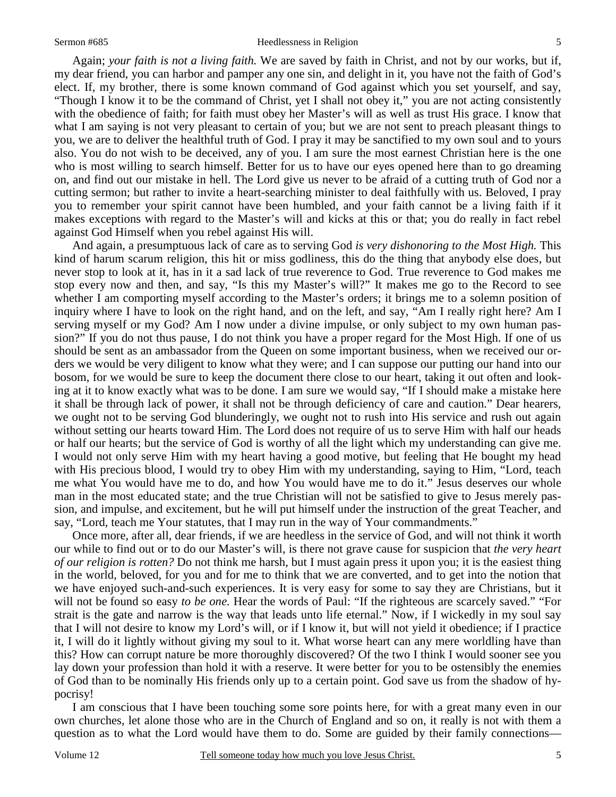#### Sermon #685 Heedlessness in Religion

 Again; *your faith is not a living faith.* We are saved by faith in Christ, and not by our works, but if, my dear friend, you can harbor and pamper any one sin, and delight in it, you have not the faith of God's elect. If, my brother, there is some known command of God against which you set yourself, and say, "Though I know it to be the command of Christ, yet I shall not obey it," you are not acting consistently with the obedience of faith; for faith must obey her Master's will as well as trust His grace. I know that what I am saying is not very pleasant to certain of you; but we are not sent to preach pleasant things to you, we are to deliver the healthful truth of God. I pray it may be sanctified to my own soul and to yours also. You do not wish to be deceived, any of you. I am sure the most earnest Christian here is the one who is most willing to search himself. Better for us to have our eyes opened here than to go dreaming on, and find out our mistake in hell. The Lord give us never to be afraid of a cutting truth of God nor a cutting sermon; but rather to invite a heart-searching minister to deal faithfully with us. Beloved, I pray you to remember your spirit cannot have been humbled, and your faith cannot be a living faith if it makes exceptions with regard to the Master's will and kicks at this or that; you do really in fact rebel against God Himself when you rebel against His will.

And again, a presumptuous lack of care as to serving God *is very dishonoring to the Most High.* This kind of harum scarum religion, this hit or miss godliness, this do the thing that anybody else does, but never stop to look at it, has in it a sad lack of true reverence to God. True reverence to God makes me stop every now and then, and say, "Is this my Master's will?" It makes me go to the Record to see whether I am comporting myself according to the Master's orders; it brings me to a solemn position of inquiry where I have to look on the right hand, and on the left, and say, "Am I really right here? Am I serving myself or my God? Am I now under a divine impulse, or only subject to my own human passion?" If you do not thus pause, I do not think you have a proper regard for the Most High. If one of us should be sent as an ambassador from the Queen on some important business, when we received our orders we would be very diligent to know what they were; and I can suppose our putting our hand into our bosom, for we would be sure to keep the document there close to our heart, taking it out often and looking at it to know exactly what was to be done. I am sure we would say, "If I should make a mistake here it shall be through lack of power, it shall not be through deficiency of care and caution." Dear hearers, we ought not to be serving God blunderingly, we ought not to rush into His service and rush out again without setting our hearts toward Him. The Lord does not require of us to serve Him with half our heads or half our hearts; but the service of God is worthy of all the light which my understanding can give me. I would not only serve Him with my heart having a good motive, but feeling that He bought my head with His precious blood, I would try to obey Him with my understanding, saying to Him, "Lord, teach me what You would have me to do, and how You would have me to do it." Jesus deserves our whole man in the most educated state; and the true Christian will not be satisfied to give to Jesus merely passion, and impulse, and excitement, but he will put himself under the instruction of the great Teacher, and say, "Lord, teach me Your statutes, that I may run in the way of Your commandments."

 Once more, after all, dear friends, if we are heedless in the service of God, and will not think it worth our while to find out or to do our Master's will, is there not grave cause for suspicion that *the very heart of our religion is rotten?* Do not think me harsh, but I must again press it upon you; it is the easiest thing in the world, beloved, for you and for me to think that we are converted, and to get into the notion that we have enjoyed such-and-such experiences. It is very easy for some to say they are Christians, but it will not be found so easy *to be one.* Hear the words of Paul: "If the righteous are scarcely saved." "For strait is the gate and narrow is the way that leads unto life eternal." Now, if I wickedly in my soul say that I will not desire to know my Lord's will, or if I know it, but will not yield it obedience; if I practice it, I will do it lightly without giving my soul to it. What worse heart can any mere worldling have than this? How can corrupt nature be more thoroughly discovered? Of the two I think I would sooner see you lay down your profession than hold it with a reserve. It were better for you to be ostensibly the enemies of God than to be nominally His friends only up to a certain point. God save us from the shadow of hypocrisy!

 I am conscious that I have been touching some sore points here, for with a great many even in our own churches, let alone those who are in the Church of England and so on, it really is not with them a question as to what the Lord would have them to do. Some are guided by their family connections—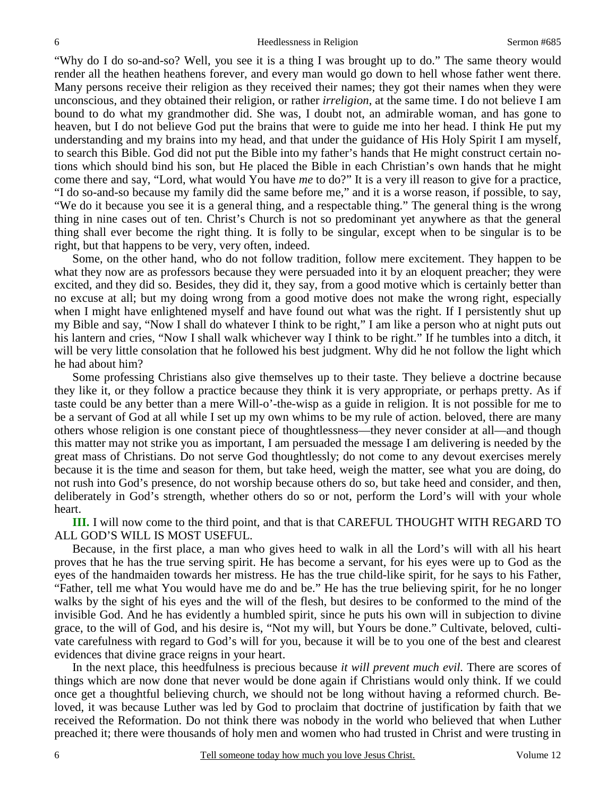"Why do I do so-and-so? Well, you see it is a thing I was brought up to do." The same theory would render all the heathen heathens forever, and every man would go down to hell whose father went there. Many persons receive their religion as they received their names; they got their names when they were unconscious, and they obtained their religion, or rather *irreligion*, at the same time. I do not believe I am bound to do what my grandmother did. She was, I doubt not, an admirable woman, and has gone to heaven, but I do not believe God put the brains that were to guide me into her head. I think He put my understanding and my brains into my head, and that under the guidance of His Holy Spirit I am myself, to search this Bible. God did not put the Bible into my father's hands that He might construct certain notions which should bind his son, but He placed the Bible in each Christian's own hands that he might come there and say, "Lord, what would You have *me* to do?" It is a very ill reason to give for a practice, "I do so-and-so because my family did the same before me," and it is a worse reason, if possible, to say, "We do it because you see it is a general thing, and a respectable thing." The general thing is the wrong thing in nine cases out of ten. Christ's Church is not so predominant yet anywhere as that the general thing shall ever become the right thing. It is folly to be singular, except when to be singular is to be right, but that happens to be very, very often, indeed.

 Some, on the other hand, who do not follow tradition, follow mere excitement. They happen to be what they now are as professors because they were persuaded into it by an eloquent preacher; they were excited, and they did so. Besides, they did it, they say, from a good motive which is certainly better than no excuse at all; but my doing wrong from a good motive does not make the wrong right, especially when I might have enlightened myself and have found out what was the right. If I persistently shut up my Bible and say, "Now I shall do whatever I think to be right," I am like a person who at night puts out his lantern and cries, "Now I shall walk whichever way I think to be right." If he tumbles into a ditch, it will be very little consolation that he followed his best judgment. Why did he not follow the light which he had about him?

 Some professing Christians also give themselves up to their taste. They believe a doctrine because they like it, or they follow a practice because they think it is very appropriate, or perhaps pretty. As if taste could be any better than a mere Will-o'-the-wisp as a guide in religion. It is not possible for me to be a servant of God at all while I set up my own whims to be my rule of action. beloved, there are many others whose religion is one constant piece of thoughtlessness—they never consider at all—and though this matter may not strike you as important, I am persuaded the message I am delivering is needed by the great mass of Christians. Do not serve God thoughtlessly; do not come to any devout exercises merely because it is the time and season for them, but take heed, weigh the matter, see what you are doing, do not rush into God's presence, do not worship because others do so, but take heed and consider, and then, deliberately in God's strength, whether others do so or not, perform the Lord's will with your whole heart.

**III.** I will now come to the third point, and that is that CAREFUL THOUGHT WITH REGARD TO ALL GOD'S WILL IS MOST USEFUL.

 Because, in the first place, a man who gives heed to walk in all the Lord's will with all his heart proves that he has the true serving spirit. He has become a servant, for his eyes were up to God as the eyes of the handmaiden towards her mistress. He has the true child-like spirit, for he says to his Father, "Father, tell me what You would have me do and be." He has the true believing spirit, for he no longer walks by the sight of his eyes and the will of the flesh, but desires to be conformed to the mind of the invisible God. And he has evidently a humbled spirit, since he puts his own will in subjection to divine grace, to the will of God, and his desire is, "Not my will, but Yours be done." Cultivate, beloved, cultivate carefulness with regard to God's will for you, because it will be to you one of the best and clearest evidences that divine grace reigns in your heart.

 In the next place, this heedfulness is precious because *it will prevent much evil.* There are scores of things which are now done that never would be done again if Christians would only think. If we could once get a thoughtful believing church, we should not be long without having a reformed church. Beloved, it was because Luther was led by God to proclaim that doctrine of justification by faith that we received the Reformation. Do not think there was nobody in the world who believed that when Luther preached it; there were thousands of holy men and women who had trusted in Christ and were trusting in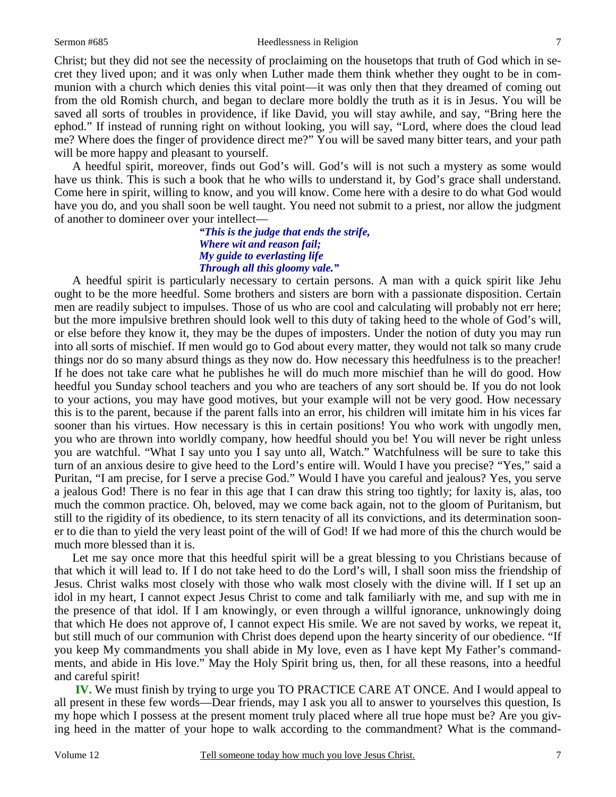Christ; but they did not see the necessity of proclaiming on the housetops that truth of God which in secret they lived upon; and it was only when Luther made them think whether they ought to be in communion with a church which denies this vital point—it was only then that they dreamed of coming out from the old Romish church, and began to declare more boldly the truth as it is in Jesus. You will be saved all sorts of troubles in providence, if like David, you will stay awhile, and say, "Bring here the ephod." If instead of running right on without looking, you will say, "Lord, where does the cloud lead me? Where does the finger of providence direct me?" You will be saved many bitter tears, and your path will be more happy and pleasant to yourself.

 A heedful spirit, moreover, finds out God's will. God's will is not such a mystery as some would have us think. This is such a book that he who wills to understand it, by God's grace shall understand. Come here in spirit, willing to know, and you will know. Come here with a desire to do what God would have you do, and you shall soon be well taught. You need not submit to a priest, nor allow the judgment of another to domineer over your intellect—

### *"This is the judge that ends the strife, Where wit and reason fail; My guide to everlasting life Through all this gloomy vale."*

 A heedful spirit is particularly necessary to certain persons. A man with a quick spirit like Jehu ought to be the more heedful. Some brothers and sisters are born with a passionate disposition. Certain men are readily subject to impulses. Those of us who are cool and calculating will probably not err here; but the more impulsive brethren should look well to this duty of taking heed to the whole of God's will, or else before they know it, they may be the dupes of imposters. Under the notion of duty you may run into all sorts of mischief. If men would go to God about every matter, they would not talk so many crude things nor do so many absurd things as they now do. How necessary this heedfulness is to the preacher! If he does not take care what he publishes he will do much more mischief than he will do good. How heedful you Sunday school teachers and you who are teachers of any sort should be. If you do not look to your actions, you may have good motives, but your example will not be very good. How necessary this is to the parent, because if the parent falls into an error, his children will imitate him in his vices far sooner than his virtues. How necessary is this in certain positions! You who work with ungodly men, you who are thrown into worldly company, how heedful should you be! You will never be right unless you are watchful. "What I say unto you I say unto all, Watch." Watchfulness will be sure to take this turn of an anxious desire to give heed to the Lord's entire will. Would I have you precise? "Yes," said a Puritan, "I am precise, for I serve a precise God." Would I have you careful and jealous? Yes, you serve a jealous God! There is no fear in this age that I can draw this string too tightly; for laxity is, alas, too much the common practice. Oh, beloved, may we come back again, not to the gloom of Puritanism, but still to the rigidity of its obedience, to its stern tenacity of all its convictions, and its determination sooner to die than to yield the very least point of the will of God! If we had more of this the church would be much more blessed than it is.

Let me say once more that this heedful spirit will be a great blessing to you Christians because of that which it will lead to. If I do not take heed to do the Lord's will, I shall soon miss the friendship of Jesus. Christ walks most closely with those who walk most closely with the divine will. If I set up an idol in my heart, I cannot expect Jesus Christ to come and talk familiarly with me, and sup with me in the presence of that idol. If I am knowingly, or even through a willful ignorance, unknowingly doing that which He does not approve of, I cannot expect His smile. We are not saved by works, we repeat it, but still much of our communion with Christ does depend upon the hearty sincerity of our obedience. "If you keep My commandments you shall abide in My love, even as I have kept My Father's commandments, and abide in His love." May the Holy Spirit bring us, then, for all these reasons, into a heedful and careful spirit!

 **IV.** We must finish by trying to urge you TO PRACTICE CARE AT ONCE. And I would appeal to all present in these few words—Dear friends, may I ask you all to answer to yourselves this question, Is my hope which I possess at the present moment truly placed where all true hope must be? Are you giving heed in the matter of your hope to walk according to the commandment? What is the command